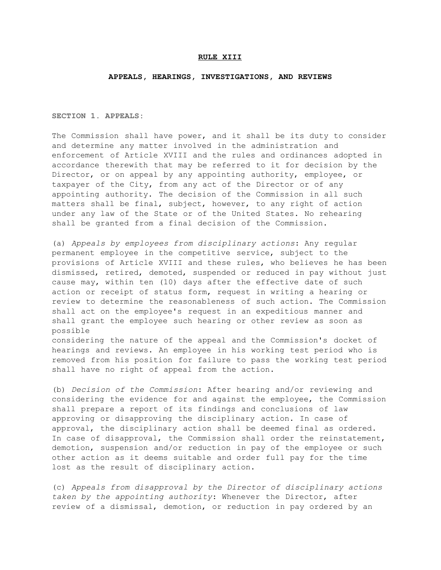## RULE XIII

## APPEALS, HEARINGS, INVESTIGATIONS, AND REVIEWS

SECTION 1. APPEALS:

The Commission shall have power, and it shall be its duty to consider and determine any matter involved in the administration and enforcement of Article XVIII and the rules and ordinances adopted in accordance therewith that may be referred to it for decision by the Director, or on appeal by any appointing authority, employee, or taxpayer of the City, from any act of the Director or of any appointing authority. The decision of the Commission in all such matters shall be final, subject, however, to any right of action under any law of the State or of the United States. No rehearing shall be granted from a final decision of the Commission.

(a) *Appeals by employees from disciplinary actions*: Any regular permanent employee in the competitive service, subject to the provisions of Article XVIII and these rules, who believes he has been dismissed, retired, demoted, suspended or reduced in pay without just cause may, within ten (10) days after the effective date of such action or receipt of status form, request in writing a hearing or review to determine the reasonableness of such action. The Commission shall act on the employee's request in an expeditious manner and shall grant the employee such hearing or other review as soon as possible

considering the nature of the appeal and the Commission's docket of hearings and reviews. An employee in his working test period who is removed from his position for failure to pass the working test period shall have no right of appeal from the action.

(b) *Decision of the Commission*: After hearing and/or reviewing and considering the evidence for and against the employee, the Commission shall prepare a report of its findings and conclusions of law approving or disapproving the disciplinary action. In case of approval, the disciplinary action shall be deemed final as ordered. In case of disapproval, the Commission shall order the reinstatement, demotion, suspension and/or reduction in pay of the employee or such other action as it deems suitable and order full pay for the time lost as the result of disciplinary action.

(c) *Appeals from disapproval by the Director of disciplinary actions taken by the appointing authority*: Whenever the Director, after review of a dismissal, demotion, or reduction in pay ordered by an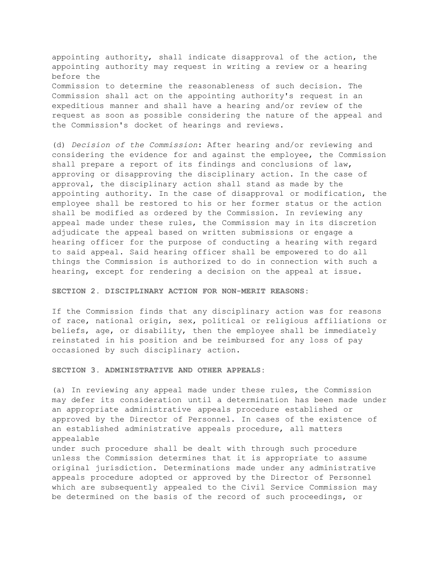appointing authority, shall indicate disapproval of the action, the appointing authority may request in writing a review or a hearing before the Commission to determine the reasonableness of such decision. The Commission shall act on the appointing authority's request in an expeditious manner and shall have a hearing and/or review of the request as soon as possible considering the nature of the appeal and the Commission's docket of hearings and reviews.

(d) *Decision of the Commission*: After hearing and/or reviewing and considering the evidence for and against the employee, the Commission shall prepare a report of its findings and conclusions of law, approving or disapproving the disciplinary action. In the case of approval, the disciplinary action shall stand as made by the appointing authority. In the case of disapproval or modification, the employee shall be restored to his or her former status or the action shall be modified as ordered by the Commission. In reviewing any appeal made under these rules, the Commission may in its discretion adjudicate the appeal based on written submissions or engage a hearing officer for the purpose of conducting a hearing with regard to said appeal. Said hearing officer shall be empowered to do all things the Commission is authorized to do in connection with such a hearing, except for rendering a decision on the appeal at issue.

SECTION 2. DISCIPLINARY ACTION FOR NON-MERIT REASONS:

If the Commission finds that any disciplinary action was for reasons of race, national origin, sex, political or religious affiliations or beliefs, age, or disability, then the employee shall be immediately reinstated in his position and be reimbursed for any loss of pay occasioned by such disciplinary action.

SECTION 3. ADMINISTRATIVE AND OTHER APPEALS:

(a) In reviewing any appeal made under these rules, the Commission may defer its consideration until a determination has been made under an appropriate administrative appeals procedure established or approved by the Director of Personnel. In cases of the existence of an established administrative appeals procedure, all matters appealable under such procedure shall be dealt with through such procedure

unless the Commission determines that it is appropriate to assume original jurisdiction. Determinations made under any administrative appeals procedure adopted or approved by the Director of Personnel which are subsequently appealed to the Civil Service Commission may be determined on the basis of the record of such proceedings, or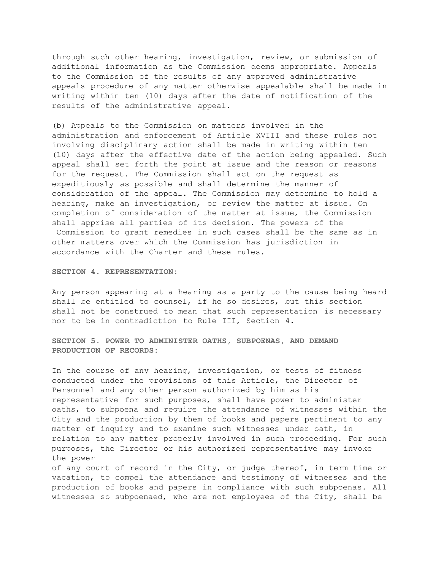through such other hearing, investigation, review, or submission of additional information as the Commission deems appropriate. Appeals to the Commission of the results of any approved administrative appeals procedure of any matter otherwise appealable shall be made in writing within ten (10) days after the date of notification of the results of the administrative appeal.

(b) Appeals to the Commission on matters involved in the administration and enforcement of Article XVIII and these rules not involving disciplinary action shall be made in writing within ten (10) days after the effective date of the action being appealed. Such appeal shall set forth the point at issue and the reason or reasons for the request. The Commission shall act on the request as expeditiously as possible and shall determine the manner of consideration of the appeal. The Commission may determine to hold a hearing, make an investigation, or review the matter at issue. On completion of consideration of the matter at issue, the Commission shall apprise all parties of its decision. The powers of the Commission to grant remedies in such cases shall be the same as in other matters over which the Commission has jurisdiction in accordance with the Charter and these rules.

SECTION 4. REPRESENTATION:

Any person appearing at a hearing as a party to the cause being heard shall be entitled to counsel, if he so desires, but this section shall not be construed to mean that such representation is necessary nor to be in contradiction to Rule III, Section 4.

SECTION 5. POWER TO ADMINISTER OATHS, SUBPOENAS, AND DEMAND PRODUCTION OF RECORDS:

In the course of any hearing, investigation, or tests of fitness conducted under the provisions of this Article, the Director of Personnel and any other person authorized by him as his representative for such purposes, shall have power to administer oaths, to subpoena and require the attendance of witnesses within the City and the production by them of books and papers pertinent to any matter of inquiry and to examine such witnesses under oath, in relation to any matter properly involved in such proceeding. For such purposes, the Director or his authorized representative may invoke the power

of any court of record in the City, or judge thereof, in term time or vacation, to compel the attendance and testimony of witnesses and the production of books and papers in compliance with such subpoenas. All witnesses so subpoenaed, who are not employees of the City, shall be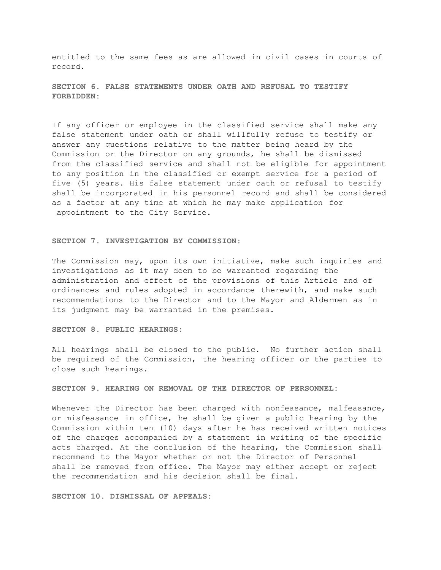entitled to the same fees as are allowed in civil cases in courts of record.

SECTION 6. FALSE STATEMENTS UNDER OATH AND REFUSAL TO TESTIFY FORBIDDEN:

If any officer or employee in the classified service shall make any false statement under oath or shall willfully refuse to testify or answer any questions relative to the matter being heard by the Commission or the Director on any grounds, he shall be dismissed from the classified service and shall not be eligible for appointment to any position in the classified or exempt service for a period of five (5) years. His false statement under oath or refusal to testify shall be incorporated in his personnel record and shall be considered as a factor at any time at which he may make application for appointment to the City Service.

## SECTION 7. INVESTIGATION BY COMMISSION:

The Commission may, upon its own initiative, make such inquiries and investigations as it may deem to be warranted regarding the administration and effect of the provisions of this Article and of ordinances and rules adopted in accordance therewith, and make such recommendations to the Director and to the Mayor and Aldermen as in its judgment may be warranted in the premises.

## SECTION 8. PUBLIC HEARINGS:

All hearings shall be closed to the public. No further action shall be required of the Commission, the hearing officer or the parties to close such hearings.

SECTION 9. HEARING ON REMOVAL OF THE DIRECTOR OF PERSONNEL:

Whenever the Director has been charged with nonfeasance, malfeasance, or misfeasance in office, he shall be given a public hearing by the Commission within ten (10) days after he has received written notices of the charges accompanied by a statement in writing of the specific acts charged. At the conclusion of the hearing, the Commission shall recommend to the Mayor whether or not the Director of Personnel shall be removed from office. The Mayor may either accept or reject the recommendation and his decision shall be final.

SECTION 10. DISMISSAL OF APPEALS: